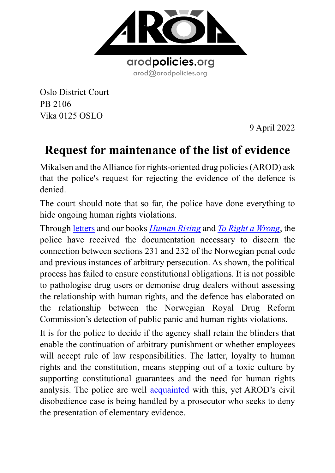

Oslo District Court PB 2106 Vika 0125 OSLO

9 April 2022

# **Request for maintenance of the list of evidence**

Mikalsen and the Alliance for rights-oriented drug policies (AROD) ask that the police's request for rejecting the evidence of the defence is denied.

The court should note that so far, the police have done everything to hide ongoing human rights violations.

Through [letters](https://www.arodpolicies.org/_files/ugd/a479b9_62a5077235c44afea353180fef105d87.pdf) and our books *[Human Rising](https://www.arodpolicies.org/_files/ugd/a479b9_2820e01e447e4a8d82c11a13a22efbe6.pdf)* and *[To Right a](https://www.arodpolicies.org/_files/ugd/a479b9_0c9d495a6a7148bab94a875c96260992.pdf) Wrong*, the police have received the documentation necessary to discern the connection between sections 231 and 232 of the Norwegian penal code and previous instances of arbitrary persecution. As shown, the political process has failed to ensure constitutional obligations. It is not possible to pathologise drug users or demonise drug dealers without assessing the relationship with human rights, and the defence has elaborated on the relationship between the Norwegian Royal Drug Reform Commission's detection of public panic and human rights violations.

It is for the police to decide if the agency shall retain the blinders that enable the continuation of arbitrary punishment or whether employees will accept rule of law responsibilities. The latter, loyalty to human rights and the constitution, means stepping out of a toxic culture by supporting constitutional guarantees and the need for human rights analysis. The police are well [acquainted](https://www.arodpolicies.org/arod-civil-disobedience-campaign) with this, yet AROD's civil disobedience case is being handled by a prosecutor who seeks to deny the presentation of elementary evidence.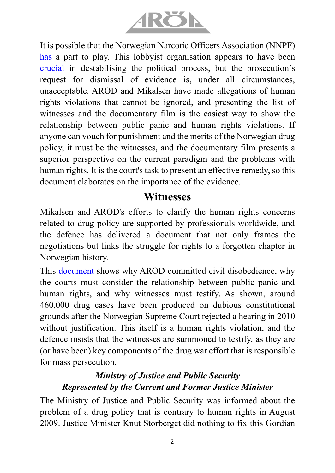

It is possible that the Norwegian Narcotic Officers Association (NNPF) [has](https://twitter.com/littufinkanskje/status/1512009602048704515/photo/1) a part to play. This lobbyist organisation appears to have been [crucial](https://twitter.com/littufinkanskje/status/1511642398128058369) in destabilising the political process, but the prosecution's request for dismissal of evidence is, under all circumstances, unacceptable. AROD and Mikalsen have made allegations of human rights violations that cannot be ignored, and presenting the list of witnesses and the documentary film is the easiest way to show the relationship between public panic and human rights violations. If anyone can vouch for punishment and the merits of the Norwegian drug policy, it must be the witnesses, and the documentary film presents a superior perspective on the current paradigm and the problems with human rights. It is the court's task to present an effective remedy, so this document elaborates on the importance of the evidence.

### **Witnesses**

Mikalsen and AROD's efforts to clarify the human rights concerns related to drug policy are supported by professionals worldwide, and the defence has delivered a document that not only frames the negotiations but links the struggle for rights to a forgotten chapter in Norwegian history.

This **document** shows why AROD committed civil disobedience, why the courts must consider the relationship between public panic and human rights, and why witnesses must testify. As shown, around 460,000 drug cases have been produced on dubious constitutional grounds after the Norwegian Supreme Court rejected a hearing in 2010 without justification. This itself is a human rights violation, and the defence insists that the witnesses are summoned to testify, as they are (or have been) key components of the drug war effort that is responsible for mass persecution.

#### *Ministry of Justice and Public Security Represented by the Current and Former Justice Minister*

The Ministry of Justice and Public Security was informed about the problem of a drug policy that is contrary to human rights in August 2009. Justice Minister Knut Storberget did nothing to fix this Gordian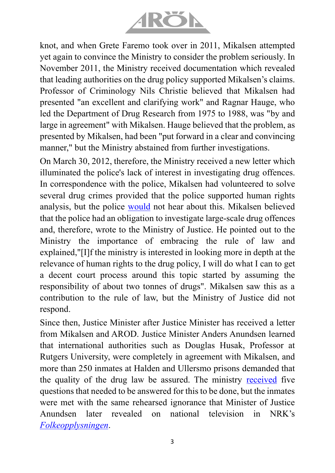

knot, and when Grete Faremo took over in 2011, Mikalsen attempted yet again to convince the Ministry to consider the problem seriously. In November 2011, the Ministry received documentation which revealed that leading authorities on the drug policy supported Mikalsen's claims. Professor of Criminology Nils Christie believed that Mikalsen had presented "an excellent and clarifying work" and Ragnar Hauge, who led the Department of Drug Research from 1975 to 1988, was "by and large in agreement" with Mikalsen. Hauge believed that the problem, as presented by Mikalsen, had been "put forward in a clear and convincing manner," but the Ministry abstained from further investigations.

On March 30, 2012, therefore, the Ministry received a new letter which illuminated the police's lack of interest in investigating drug offences. In correspondence with the police, Mikalsen had volunteered to solve several drug crimes provided that the police supported human rights analysis, but the police [would](https://twitter.com/roar_mikalsen/status/1508885611251388427/photo/1) not hear about this. Mikalsen believed that the police had an obligation to investigate large-scale drug offences and, therefore, wrote to the Ministry of Justice. He pointed out to the Ministry the importance of embracing the rule of law and explained,"[I]f the ministry is interested in looking more in depth at the relevance of human rights to the drug policy, I will do what I can to get a decent court process around this topic started by assuming the responsibility of about two tonnes of drugs". Mikalsen saw this as a contribution to the rule of law, but the Ministry of Justice did not respond.

Since then, Justice Minister after Justice Minister has received a letter from Mikalsen and AROD. Justice Minister Anders Anundsen learned that international authorities such as Douglas Husak, Professor at Rutgers University, were completely in agreement with Mikalsen, and more than 250 inmates at Halden and Ullersmo prisons demanded that the quality of the drug law be assured. The ministry [received](https://www.arodpolicies.org/five-questions-that-must-be-answere) five questions that needed to be answered for this to be done, but the inmates were met with the same rehearsed ignorance that Minister of Justice Anundsen later revealed on national television in NRK's *[Folkeopplysningen](https://tv.nrk.no/serie/folkeopplysningen/2016/KMTE50009615)*.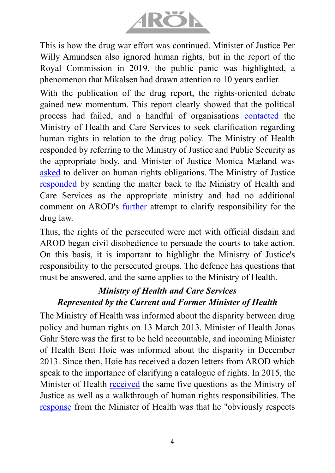

This is how the drug war effort was continued. Minister of Justice Per Willy Amundsen also ignored human rights, but in the report of the Royal Commission in 2019, the public panic was highlighted, a phenomenon that Mikalsen had drawn attention to 10 years earlier.

With the publication of the drug report, the rights-oriented debate gained new momentum. This report clearly showed that the political process had failed, and a handful of organisations [contacted](https://www.arodpolicies.org/_files/ugd/a479b9_691bc7dd23f649cf9d224f58dc203107.pdf) the Ministry of Health and Care Services to seek clarification regarding human rights in relation to the drug policy. The Ministry of Health responded by referring to the Ministry of Justice and Public Security as the appropriate body, and Minister of Justice Monica Mæland was [asked](https://www.arodpolicies.org/_files/ugd/a479b9_a83de8b30bfa4eda8a6f9d5934e62fc7.pdf) to deliver on human rights obligations. The Ministry of Justice [responded](https://www.arodpolicies.org/_files/ugd/a479b9_9e0428613d8649b081fce8c19f0f54cc.pdf) by sending the matter back to the Ministry of Health and Care Services as the appropriate ministry and had no additional comment on AROD's [further](https://www.arodpolicies.org/_files/ugd/a479b9_0c4c1eff6bbd4a03a5ff888a36a32509.pdf) attempt to clarify responsibility for the drug law.

Thus, the rights of the persecuted were met with official disdain and AROD began civil disobedience to persuade the courts to take action. On this basis, it is important to highlight the Ministry of Justice's responsibility to the persecuted groups. The defence has questions that must be answered, and the same applies to the Ministry of Health.

#### *Ministry of Health and Care Services Represented by the Current and Former Minister of Health*

The Ministry of Health was informed about the disparity between drug policy and human rights on 13 March 2013. Minister of Health Jonas Gahr Støre was the first to be held accountable, and incoming Minister of Health Bent Høie was informed about the disparity in December 2013. Since then, Høie has received a dozen letters from AROD which speak to the importance of clarifying a catalogue of rights. In 2015, the Minister of Health [received](https://www.arodpolicies.org/_files/ugd/a479b9_b483c92c5b7a499784af7207a14289ea.pdf) the same five questions as the Ministry of Justice as well as a walkthrough of human rights responsibilities. The [response](https://www.arodpolicies.org/_files/ugd/a479b9_f467c5d46f7d41ba9b4e260ee096f602.pdf) from the Minister of Health was that he "obviously respects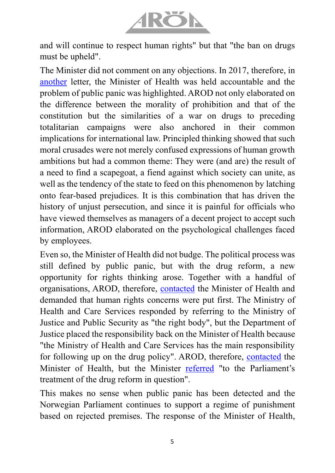

and will continue to respect human rights" but that "the ban on drugs must be upheld".

The Minister did not comment on any objections. In 2017, therefore, in [another](https://www.arodpolicies.org/_files/ugd/a479b9_8265d8e3b3ca46dbbe69fa151076430d.pdf) letter, the Minister of Health was held accountable and the problem of public panic was highlighted. AROD not only elaborated on the difference between the morality of prohibition and that of the constitution but the similarities of a war on drugs to preceding totalitarian campaigns were also anchored in their common implications for international law. Principled thinking showed that such moral crusades were not merely confused expressions of human growth ambitions but had a common theme: They were (and are) the result of a need to find a scapegoat, a fiend against which society can unite, as well as the tendency of the state to feed on this phenomenon by latching onto fear-based prejudices. It is this combination that has driven the history of unjust persecution, and since it is painful for officials who have viewed themselves as managers of a decent project to accept such information, AROD elaborated on the psychological challenges faced by employees.

Even so, the Minister of Health did not budge. The political process was still defined by public panic, but with the drug reform, a new opportunity for rights thinking arose. Together with a handful of organisations, AROD, therefore, [contacted](https://www.arodpolicies.org/_files/ugd/a479b9_691bc7dd23f649cf9d224f58dc203107.pdf) the Minister of Health and demanded that human rights concerns were put first. The Ministry of Health and Care Services responded by referring to the Ministry of Justice and Public Security as "the right body", but the Department of Justice placed the responsibility back on the Minister of Health because "the Ministry of Health and Care Services has the main responsibility for following up on the drug policy". AROD, therefore, [contacted](https://www.arodpolicies.org/_files/ugd/a479b9_c12b9f41d2234411ba44aaa62bee6b8b.pdf) the Minister of Health, but the Minister [referred](https://www.arodpolicies.org/_files/ugd/a479b9_b61791c982d84ee39908420c87470ce2.pdf) "to the Parliament's treatment of the drug reform in question".

This makes no sense when public panic has been detected and the Norwegian Parliament continues to support a regime of punishment based on rejected premises. The response of the Minister of Health,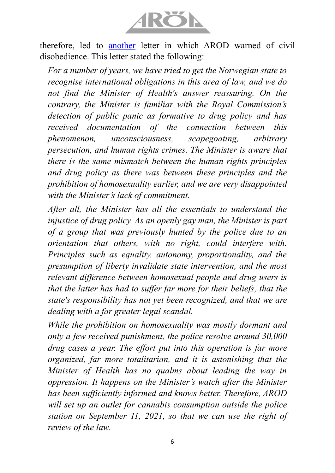

therefore, led to [another](https://www.arodpolicies.org/_files/ugd/a479b9_2d1fee88d04c44e2ad9c8cb472cd41ff.pdf) letter in which AROD warned of civil disobedience. This letter stated the following:

*For a number of years, we have tried to get the Norwegian state to recognise international obligations in this area of law, and we do not find the Minister of Health's answer reassuring. On the contrary, the Minister is familiar with the Royal Commission's detection of public panic as formative to drug policy and has received documentation of the connection between this phenomenon, unconsciousness, scapegoating, arbitrary persecution, and human rights crimes. The Minister is aware that there is the same mismatch between the human rights principles and drug policy as there was between these principles and the prohibition of homosexuality earlier, and we are very disappointed with the Minister's lack of commitment.* 

*After all, the Minister has all the essentials to understand the injustice of drug policy. As an openly gay man, the Minister is part of a group that was previously hunted by the police due to an orientation that others, with no right, could interfere with. Principles such as equality, autonomy, proportionality, and the presumption of liberty invalidate state intervention, and the most relevant difference between homosexual people and drug users is that the latter has had to suffer far more for their beliefs, that the state's responsibility has not yet been recognized, and that we are dealing with a far greater legal scandal.* 

*While the prohibition on homosexuality was mostly dormant and only a few received punishment, the police resolve around 30,000 drug cases a year. The effort put into this operation is far more organized, far more totalitarian, and it is astonishing that the Minister of Health has no qualms about leading the way in oppression. It happens on the Minister's watch after the Minister has been sufficiently informed and knows better. Therefore, AROD will set up an outlet for cannabis consumption outside the police station on September 11, 2021, so that we can use the right of review of the law.*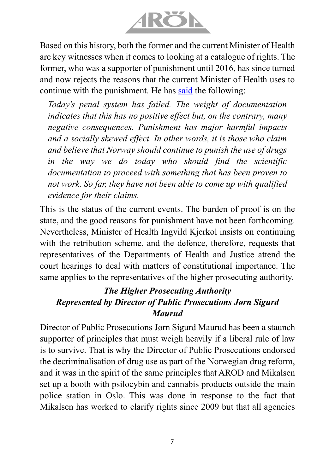

Based on this history, both the former and the current Minister of Health are key witnesses when it comes to looking at a catalogue of rights. The former, who was a supporter of punishment until 2016, has since turned and now rejects the reasons that the current Minister of Health uses to continue with the punishment. He has [said](https://www.midtnorskdebatt.no/meninger/ordetfritt/2021/06/02/Hjelp-ikke-straff-24060121.ece) the following:

*Today's penal system has failed. The weight of documentation indicates that this has no positive effect but, on the contrary, many negative consequences. Punishment has major harmful impacts and a socially skewed effect. In other words, it is those who claim and believe that Norway should continue to punish the use of drugs in the way we do today who should find the scientific documentation to proceed with something that has been proven to not work. So far, they have not been able to come up with qualified evidence for their claims.*

This is the status of the current events. The burden of proof is on the state, and the good reasons for punishment have not been forthcoming. Nevertheless, Minister of Health Ingvild Kjerkol insists on continuing with the retribution scheme, and the defence, therefore, requests that representatives of the Departments of Health and Justice attend the court hearings to deal with matters of constitutional importance. The same applies to the representatives of the higher prosecuting authority.

#### *The Higher Prosecuting Authority Represented by Director of Public Prosecutions Jørn Sigurd Maurud*

Director of Public Prosecutions Jørn Sigurd Maurud has been a staunch supporter of principles that must weigh heavily if a liberal rule of law is to survive. That is why the Director of Public Prosecutions endorsed the decriminalisation of drug use as part of the Norwegian drug reform, and it was in the spirit of the same principles that AROD and Mikalsen set up a booth with psilocybin and cannabis products outside the main police station in Oslo. This was done in response to the fact that Mikalsen has worked to clarify rights since 2009 but that all agencies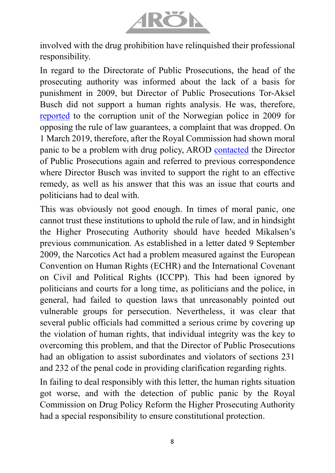

involved with the drug prohibition have relinquished their professional responsibility.

In regard to the Directorate of Public Prosecutions, the head of the prosecuting authority was informed about the lack of a basis for punishment in 2009, but Director of Public Prosecutions Tor-Aksel Busch did not support a human rights analysis. He was, therefore, [reported](https://www.arodpolicies.org/_files/ugd/a479b9_192b0b7fe24849f5a0f681caf96706a3.pdf) to the corruption unit of the Norwegian police in 2009 for opposing the rule of law guarantees, a complaint that was dropped. On 1 March 2019, therefore, after the Royal Commission had shown moral panic to be a problem with drug policy, AROD [contacted](https://www.arodpolicies.org/_files/ugd/a479b9_0e8597c345eb400cb5deb96f6890b372.pdf) the Director of Public Prosecutions again and referred to previous correspondence where Director Busch was invited to support the right to an effective remedy, as well as his answer that this was an issue that courts and politicians had to deal with.

This was obviously not good enough. In times of moral panic, one cannot trust these institutions to uphold the rule of law, and in hindsight the Higher Prosecuting Authority should have heeded Mikalsen's previous communication. As established in a letter dated 9 September 2009, the Narcotics Act had a problem measured against the European Convention on Human Rights (ECHR) and the International Covenant on Civil and Political Rights (ICCPP). This had been ignored by politicians and courts for a long time, as politicians and the police, in general, had failed to question laws that unreasonably pointed out vulnerable groups for persecution. Nevertheless, it was clear that several public officials had committed a serious crime by covering up the violation of human rights, that individual integrity was the key to overcoming this problem, and that the Director of Public Prosecutions had an obligation to assist subordinates and violators of sections 231 and 232 of the penal code in providing clarification regarding rights.

In failing to deal responsibly with this letter, the human rights situation got worse, and with the detection of public panic by the Royal Commission on Drug Policy Reform the Higher Prosecuting Authority had a special responsibility to ensure constitutional protection.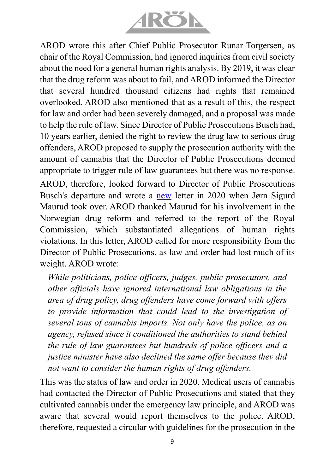

AROD wrote this after Chief Public Prosecutor Runar Torgersen, as chair of the Royal Commission, had ignored inquiries from civil society about the need for a general human rights analysis. By 2019, it was clear that the drug reform was about to fail, and AROD informed the Director that several hundred thousand citizens had rights that remained overlooked. AROD also mentioned that as a result of this, the respect for law and order had been severely damaged, and a proposal was made to help the rule of law. Since Director of Public Prosecutions Busch had, 10 years earlier, denied the right to review the drug law to serious drug offenders, AROD proposed to supply the prosecution authority with the amount of cannabis that the Director of Public Prosecutions deemed appropriate to trigger rule of law guarantees but there was no response. AROD, therefore, looked forward to Director of Public Prosecutions Busch's departure and wrote a [new](https://www.arodpolicies.org/_files/ugd/a479b9_a3cd566216524c669634801eb06634c8.pdf) letter in 2020 when Jørn Sigurd Maurud took over. AROD thanked Maurud for his involvement in the Norwegian drug reform and referred to the report of the Royal Commission, which substantiated allegations of human rights violations. In this letter, AROD called for more responsibility from the Director of Public Prosecutions, as law and order had lost much of its

weight. AROD wrote:

*While politicians, police officers, judges, public prosecutors, and other officials have ignored international law obligations in the area of drug policy, drug offenders have come forward with offers to provide information that could lead to the investigation of several tons of cannabis imports. Not only have the police, as an agency, refused since it conditioned the authorities to stand behind the rule of law guarantees but hundreds of police officers and a justice minister have also declined the same offer because they did not want to consider the human rights of drug offenders.*

This was the status of law and order in 2020. Medical users of cannabis had contacted the Director of Public Prosecutions and stated that they cultivated cannabis under the emergency law principle, and AROD was aware that several would report themselves to the police. AROD, therefore, requested a circular with guidelines for the prosecution in the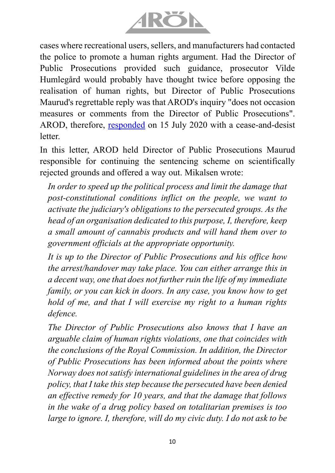

cases where recreational users, sellers, and manufacturers had contacted the police to promote a human rights argument. Had the Director of Public Prosecutions provided such guidance, prosecutor Vilde Humlegård would probably have thought twice before opposing the realisation of human rights, but Director of Public Prosecutions Maurud's regrettable reply was that AROD's inquiry "does not occasion measures or comments from the Director of Public Prosecutions". AROD, therefore, [responded](https://www.arodpolicies.org/_files/ugd/a479b9_ebdfe6d7b9394579a5513390a6c0358a.pdf) on 15 July 2020 with a cease-and-desist letter.

In this letter, AROD held Director of Public Prosecutions Maurud responsible for continuing the sentencing scheme on scientifically rejected grounds and offered a way out. Mikalsen wrote:

*In order to speed up the political process and limit the damage that post-constitutional conditions inflict on the people, we want to activate the judiciary's obligations to the persecuted groups. As the head of an organisation dedicated to this purpose, I, therefore, keep a small amount of cannabis products and will hand them over to government officials at the appropriate opportunity.*

*It is up to the Director of Public Prosecutions and his office how the arrest/handover may take place. You can either arrange this in a decent way, one that does not further ruin the life of my immediate family, or you can kick in doors. In any case, you know how to get hold of me, and that I will exercise my right to a human rights defence.*

*The Director of Public Prosecutions also knows that I have an arguable claim of human rights violations, one that coincides with the conclusions of the Royal Commission. In addition, the Director of Public Prosecutions has been informed about the points where Norway does not satisfy international guidelines in the area of drug policy, that I take this step because the persecuted have been denied an effective remedy for 10 years, and that the damage that follows in the wake of a drug policy based on totalitarian premises is too large to ignore. I, therefore, will do my civic duty. I do not ask to be*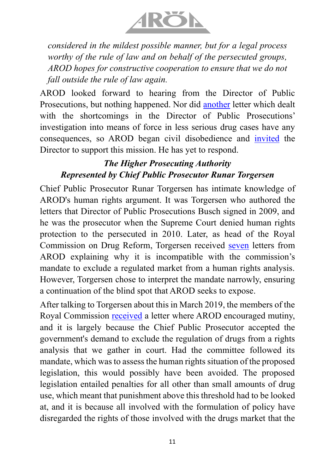

*considered in the mildest possible manner, but for a legal process worthy of the rule of law and on behalf of the persecuted groups, AROD hopes for constructive cooperation to ensure that we do not fall outside the rule of law again.*

AROD looked forward to hearing from the Director of Public Prosecutions, but nothing happened. Nor did [another](https://www.arodpolicies.org/_files/ugd/a479b9_7671f1d8f8094688882cb05c1ca5075b.pdf) letter which dealt with the shortcomings in the Director of Public Prosecutions' investigation into means of force in less serious drug cases have any consequences, so AROD began civil disobedience and [invited](https://www.arodpolicies.org/_files/ugd/a479b9_174a03f055134e8d85bd773c8993f92f.pdf) the Director to support this mission. He has yet to respond.

### *The Higher Prosecuting Authority Represented by Chief Public Prosecutor Runar Torgersen*

Chief Public Prosecutor Runar Torgersen has intimate knowledge of AROD's human rights argument. It was Torgersen who authored the letters that Director of Public Prosecutions Busch signed in 2009, and he was the prosecutor when the Supreme Court denied human rights protection to the persecuted in 2010. Later, as head of the Royal Commission on Drug Reform, Torgersen received [seven](https://www.arodpolicies.org/norwegian-authorities) letters from AROD explaining why it is incompatible with the commission's mandate to exclude a regulated market from a human rights analysis. However, Torgersen chose to interpret the mandate narrowly, ensuring a continuation of the blind spot that AROD seeks to expose.

After talking to Torgersen about this in March 2019, the members of the Royal Commission [received](https://www.arodpolicies.org/_files/ugd/a479b9_775137ad912f4729aff076e36330c944.pdf) a letter where AROD encouraged mutiny, and it is largely because the Chief Public Prosecutor accepted the government's demand to exclude the regulation of drugs from a rights analysis that we gather in court. Had the committee followed its mandate, which was to assess the human rights situation of the proposed legislation, this would possibly have been avoided. The proposed legislation entailed penalties for all other than small amounts of drug use, which meant that punishment above this threshold had to be looked at, and it is because all involved with the formulation of policy have disregarded the rights of those involved with the drugs market that the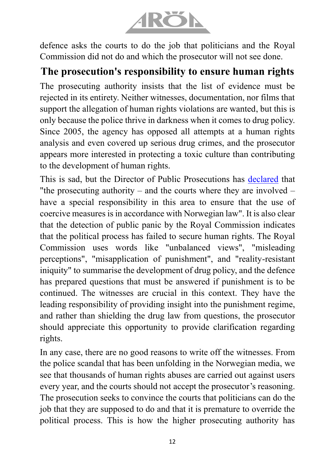

defence asks the courts to do the job that politicians and the Royal Commission did not do and which the prosecutor will not see done.

## **The prosecution's responsibility to ensure human rights**

The prosecuting authority insists that the list of evidence must be rejected in its entirety. Neither witnesses, documentation, nor films that support the allegation of human rights violations are wanted, but this is only because the police thrive in darkness when it comes to drug policy. Since 2005, the agency has opposed all attempts at a human rights analysis and even covered up serious drug crimes, and the prosecutor appears more interested in protecting a toxic culture than contributing to the development of human rights.

This is sad, but the Director of Public Prosecutions has [declared](https://www.aftenposten.no/meninger/debatt/i/9KA319/ansvaret-for-ulovlig-bruk-av-straffeprosessuelle-tvangsmidler-er-delt) that "the prosecuting authority – and the courts where they are involved – have a special responsibility in this area to ensure that the use of coercive measures is in accordance with Norwegian law". It is also clear that the detection of public panic by the Royal Commission indicates that the political process has failed to secure human rights. The Royal Commission uses words like "unbalanced views", "misleading perceptions", "misapplication of punishment", and "reality-resistant iniquity" to summarise the development of drug policy, and the defence has prepared questions that must be answered if punishment is to be continued. The witnesses are crucial in this context. They have the leading responsibility of providing insight into the punishment regime, and rather than shielding the drug law from questions, the prosecutor should appreciate this opportunity to provide clarification regarding rights.

In any case, there are no good reasons to write off the witnesses. From the police scandal that has been unfolding in the Norwegian media, we see that thousands of human rights abuses are carried out against users every year, and the courts should not accept the prosecutor's reasoning. The prosecution seeks to convince the courts that politicians can do the job that they are supposed to do and that it is premature to override the political process. This is how the higher prosecuting authority has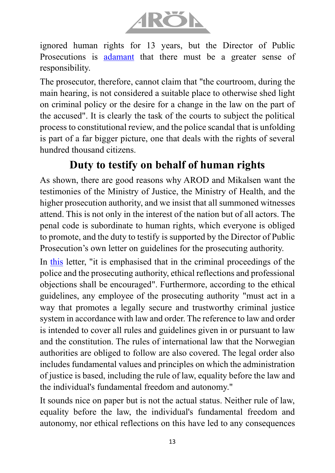

ignored human rights for 13 years, but the Director of Public Prosecutions is **[adamant](https://www.aftenposten.no/meninger/debatt/i/9KA319/ansvaret-for-ulovlig-bruk-av-straffeprosessuelle-tvangsmidler-er-delt)** that there must be a greater sense of responsibility.

The prosecutor, therefore, cannot claim that "the courtroom, during the main hearing, is not considered a suitable place to otherwise shed light on criminal policy or the desire for a change in the law on the part of the accused". It is clearly the task of the courts to subject the political process to constitutional review, and the police scandal that is unfolding is part of a far bigger picture, one that deals with the rights of several hundred thousand citizens.

# **Duty to testify on behalf of human rights**

As shown, there are good reasons why AROD and Mikalsen want the testimonies of the Ministry of Justice, the Ministry of Health, and the higher prosecution authority, and we insist that all summoned witnesses attend. This is not only in the interest of the nation but of all actors. The penal code is subordinate to human rights, which everyone is obliged to promote, and the duty to testify is supported by the Director of Public Prosecution's own letter on guidelines for the prosecuting authority.

In [this](https://www.riksadvokaten.no/document/nytt-kvalitetsrundskriv/) letter, "it is emphasised that in the criminal proceedings of the police and the prosecuting authority, ethical reflections and professional objections shall be encouraged". Furthermore, according to the ethical guidelines, any employee of the prosecuting authority "must act in a way that promotes a legally secure and trustworthy criminal justice system in accordance with law and order. The reference to law and order is intended to cover all rules and guidelines given in or pursuant to law and the constitution. The rules of international law that the Norwegian authorities are obliged to follow are also covered. The legal order also includes fundamental values and principles on which the administration of justice is based, including the rule of law, equality before the law and the individual's fundamental freedom and autonomy."

It sounds nice on paper but is not the actual status. Neither rule of law, equality before the law, the individual's fundamental freedom and autonomy, nor ethical reflections on this have led to any consequences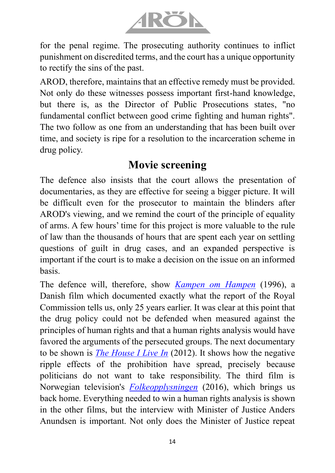

for the penal regime. The prosecuting authority continues to inflict punishment on discredited terms, and the court has a unique opportunity to rectify the sins of the past.

AROD, therefore, maintains that an effective remedy must be provided. Not only do these witnesses possess important first-hand knowledge, but there is, as the Director of Public Prosecutions states, "no fundamental conflict between good crime fighting and human rights". The two follow as one from an understanding that has been built over time, and society is ripe for a resolution to the incarceration scheme in drug policy.

## **Movie screening**

The defence also insists that the court allows the presentation of documentaries, as they are effective for seeing a bigger picture. It will be difficult even for the prosecutor to maintain the blinders after AROD's viewing, and we remind the court of the principle of equality of arms. A few hours' time for this project is more valuable to the rule of law than the thousands of hours that are spent each year on settling questions of guilt in drug cases, and an expanded perspective is important if the court is to make a decision on the issue on an informed basis.

The defence will, therefore, show *[Kampen om](https://www.youtube.com/watch?v=C0zw9kS9O4c) Hampen* (1996), a Danish film which documented exactly what the report of the Royal Commission tells us, only 25 years earlier. It was clear at this point that the drug policy could not be defended when measured against the principles of human rights and that a human rights analysis would have favored the arguments of the persecuted groups. The next documentary to be shown is *[The House I Live In](https://www.bing.com/videos/search?q=the%20house%20i%20live%20in%20movie&docid=608044864067821055&mid=8325E71C4FC81D73AA7C8325E71C4FC81D73AA7C&view=detail&FORM=VIRE&fbclid=IwAR3GaGoLS2EJ2-r11GDoIWNZGuoJ7mdYTOg5ps9bGlnU2x9g712pEX0KQmA)* (2012). It shows how the negative ripple effects of the prohibition have spread, precisely because politicians do not want to take responsibility. The third film is Norwegian television's *[Folkeopplysningen](https://tv.nrk.no/serie/folkeopplysningen/2016/KMTE50009615)* (2016), which brings us back home. Everything needed to win a human rights analysis is shown in the other films, but the interview with Minister of Justice Anders Anundsen is important. Not only does the Minister of Justice repeat